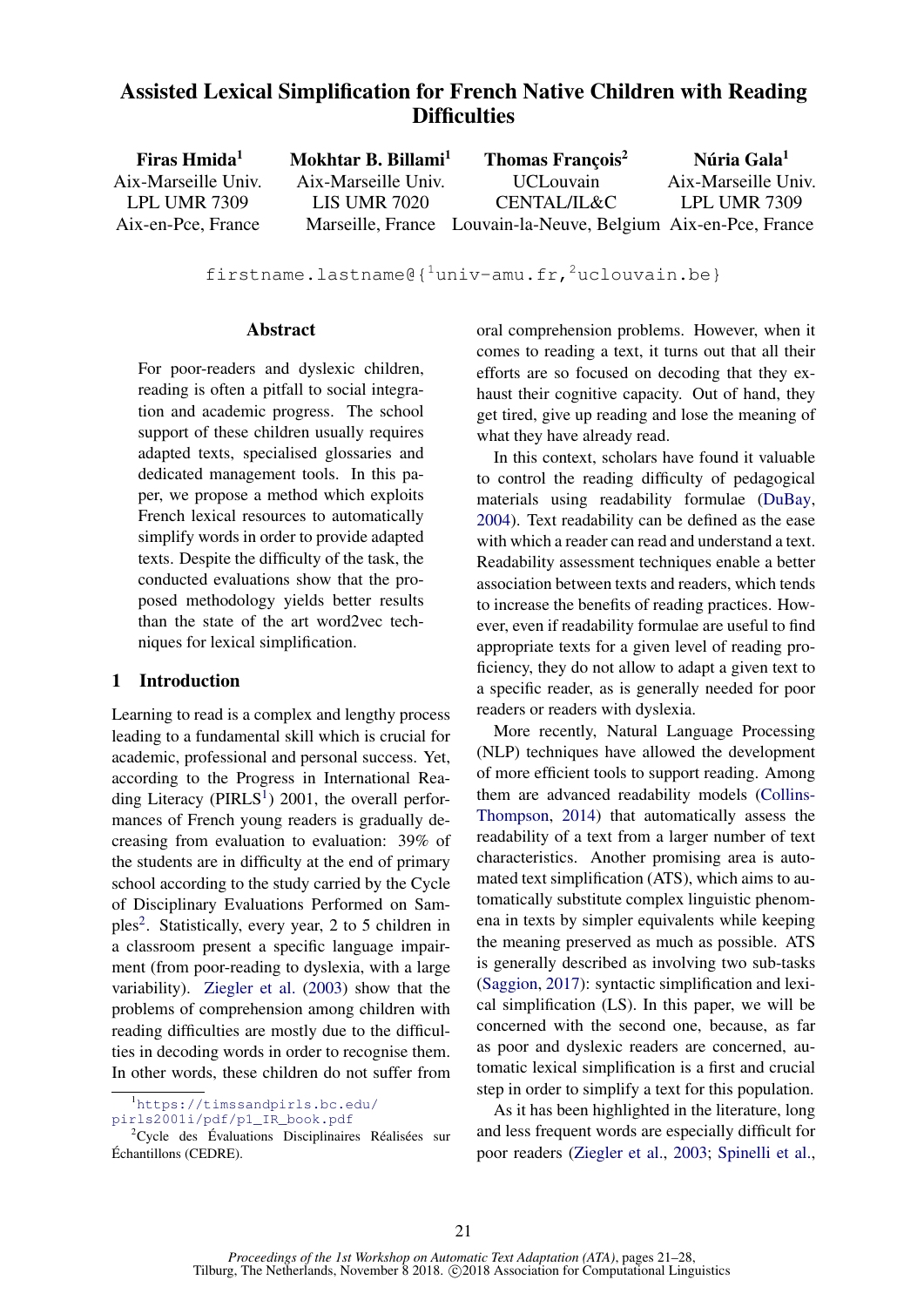# Assisted Lexical Simplification for French Native Children with Reading **Difficulties**

| Firas Hmida <sup>1</sup> | Mokhtar B. Billami <sup>1</sup> | Thomas François <sup>2</sup>                                   | Núria Gala <sup>1</sup> |
|--------------------------|---------------------------------|----------------------------------------------------------------|-------------------------|
| Aix-Marseille Univ.      | Aix-Marseille Univ.             | <b>UCL</b> ouvain                                              | Aix-Marseille Univ.     |
| LPL UMR 7309             | <b>LIS UMR 7020</b>             | CENTAL/IL&C                                                    | <b>LPL UMR 7309</b>     |
| Aix-en-Pce, France       |                                 | Marseille, France Louvain-la-Neuve, Belgium Aix-en-Pce, France |                         |

firstname.lastname@{ $1$ univ-amu.fr, $2$ uclouvain.be}

#### Abstract

For poor-readers and dyslexic children, reading is often a pitfall to social integration and academic progress. The school support of these children usually requires adapted texts, specialised glossaries and dedicated management tools. In this paper, we propose a method which exploits French lexical resources to automatically simplify words in order to provide adapted texts. Despite the difficulty of the task, the conducted evaluations show that the proposed methodology yields better results than the state of the art word2vec techniques for lexical simplification.

#### 1 Introduction

Learning to read is a complex and lengthy process leading to a fundamental skill which is crucial for academic, professional and personal success. Yet, according to the Progress in International Reading Literacy ( $PIRLS<sup>1</sup>$ ) 2001, the overall performances of French young readers is gradually decreasing from evaluation to evaluation: 39% of the students are in difficulty at the end of primary school according to the study carried by the Cycle of Disciplinary Evaluations Performed on Samples<sup>2</sup>. Statistically, every year, 2 to 5 children in a classroom present a specific language impairment (from poor-reading to dyslexia, with a large variability). Ziegler et al. (2003) show that the problems of comprehension among children with reading difficulties are mostly due to the difficulties in decoding words in order to recognise them. In other words, these children do not suffer from

<sup>1</sup>https://timssandpirls.bc.edu/

pirls2001i/pdf/p1\_IR\_book.pdf

<sup>2</sup>Cycle des Évaluations Disciplinaires Réalisées sur Échantillons (CEDRE).

oral comprehension problems. However, when it comes to reading a text, it turns out that all their efforts are so focused on decoding that they exhaust their cognitive capacity. Out of hand, they get tired, give up reading and lose the meaning of what they have already read.

In this context, scholars have found it valuable to control the reading difficulty of pedagogical materials using readability formulae (DuBay, 2004). Text readability can be defined as the ease with which a reader can read and understand a text. Readability assessment techniques enable a better association between texts and readers, which tends to increase the benefits of reading practices. However, even if readability formulae are useful to find appropriate texts for a given level of reading proficiency, they do not allow to adapt a given text to a specific reader, as is generally needed for poor readers or readers with dyslexia.

More recently, Natural Language Processing (NLP) techniques have allowed the development of more efficient tools to support reading. Among them are advanced readability models (Collins-Thompson, 2014) that automatically assess the readability of a text from a larger number of text characteristics. Another promising area is automated text simplification (ATS), which aims to automatically substitute complex linguistic phenomena in texts by simpler equivalents while keeping the meaning preserved as much as possible. ATS is generally described as involving two sub-tasks (Saggion, 2017): syntactic simplification and lexical simplification (LS). In this paper, we will be concerned with the second one, because, as far as poor and dyslexic readers are concerned, automatic lexical simplification is a first and crucial step in order to simplify a text for this population.

As it has been highlighted in the literature, long and less frequent words are especially difficult for poor readers (Ziegler et al., 2003; Spinelli et al.,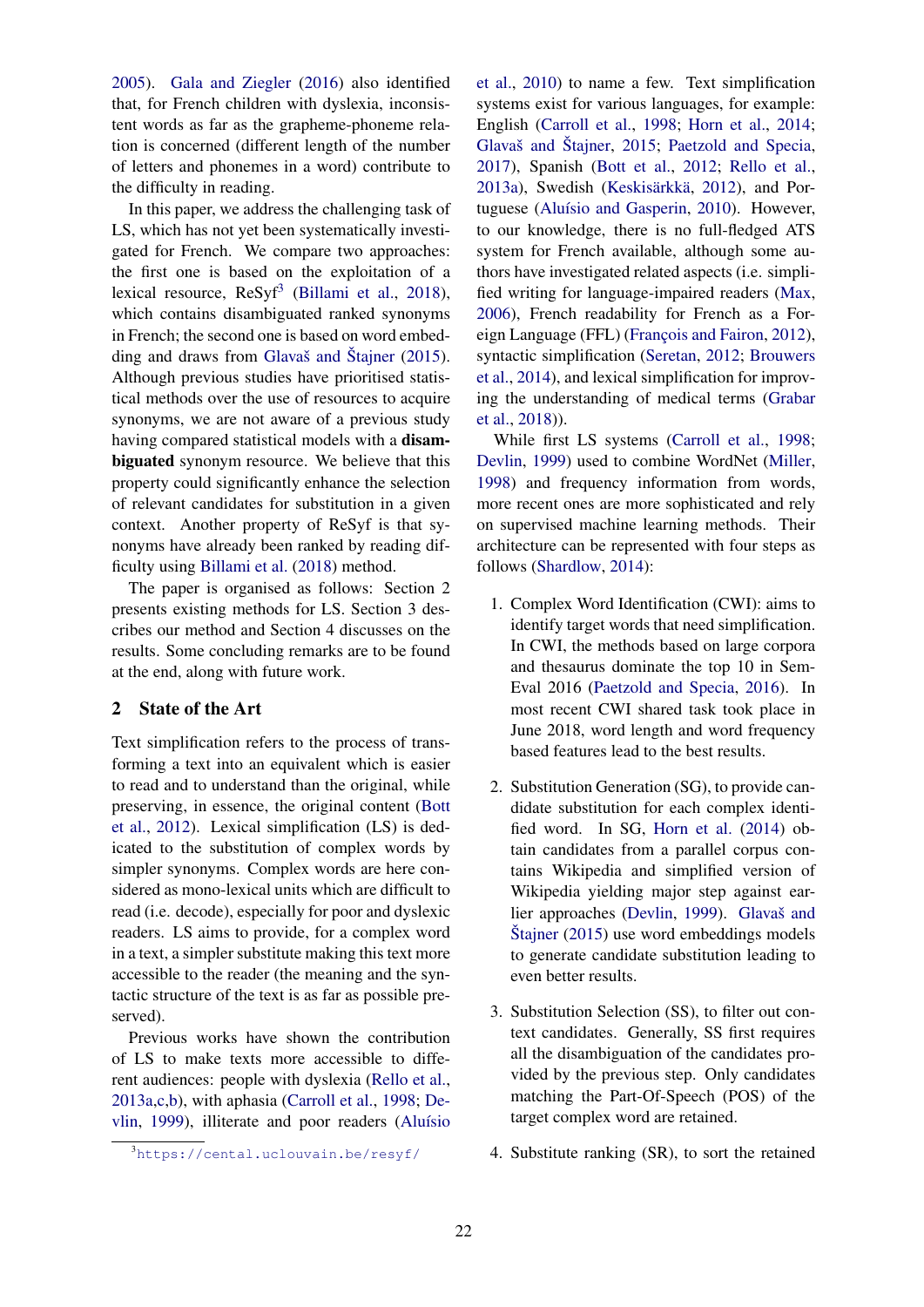2005). Gala and Ziegler (2016) also identified that, for French children with dyslexia, inconsistent words as far as the grapheme-phoneme relation is concerned (different length of the number of letters and phonemes in a word) contribute to the difficulty in reading.

In this paper, we address the challenging task of LS, which has not yet been systematically investigated for French. We compare two approaches: the first one is based on the exploitation of a lexical resource, ReSyf<sup>3</sup> (Billami et al., 2018), which contains disambiguated ranked synonyms in French; the second one is based on word embedding and draws from Glavaš and Štajner (2015). Although previous studies have prioritised statistical methods over the use of resources to acquire synonyms, we are not aware of a previous study having compared statistical models with a disambiguated synonym resource. We believe that this property could significantly enhance the selection of relevant candidates for substitution in a given context. Another property of ReSyf is that synonyms have already been ranked by reading difficulty using Billami et al. (2018) method.

The paper is organised as follows: Section 2 presents existing methods for LS. Section 3 describes our method and Section 4 discusses on the results. Some concluding remarks are to be found at the end, along with future work.

#### 2 State of the Art

Text simplification refers to the process of transforming a text into an equivalent which is easier to read and to understand than the original, while preserving, in essence, the original content (Bott et al., 2012). Lexical simplification (LS) is dedicated to the substitution of complex words by simpler synonyms. Complex words are here considered as mono-lexical units which are difficult to read (i.e. decode), especially for poor and dyslexic readers. LS aims to provide, for a complex word in a text, a simpler substitute making this text more accessible to the reader (the meaning and the syntactic structure of the text is as far as possible preserved).

Previous works have shown the contribution of LS to make texts more accessible to different audiences: people with dyslexia (Rello et al., 2013a,c,b), with aphasia (Carroll et al., 1998; Devlin, 1999), illiterate and poor readers (Aluísio et al., 2010) to name a few. Text simplification systems exist for various languages, for example: English (Carroll et al., 1998; Horn et al., 2014; Glavaš and Štajner, 2015; Paetzold and Specia, 2017), Spanish (Bott et al., 2012; Rello et al., 2013a), Swedish (Keskisärkkä, 2012), and Portuguese (Aluísio and Gasperin, 2010). However, to our knowledge, there is no full-fledged ATS system for French available, although some authors have investigated related aspects (i.e. simplified writing for language-impaired readers (Max, 2006), French readability for French as a Foreign Language (FFL) (François and Fairon, 2012), syntactic simplification (Seretan, 2012; Brouwers et al., 2014), and lexical simplification for improving the understanding of medical terms (Grabar et al., 2018)).

While first LS systems (Carroll et al., 1998; Devlin, 1999) used to combine WordNet (Miller, 1998) and frequency information from words, more recent ones are more sophisticated and rely on supervised machine learning methods. Their architecture can be represented with four steps as follows (Shardlow, 2014):

- 1. Complex Word Identification (CWI): aims to identify target words that need simplification. In CWI, the methods based on large corpora and thesaurus dominate the top 10 in Sem-Eval 2016 (Paetzold and Specia, 2016). In most recent CWI shared task took place in June 2018, word length and word frequency based features lead to the best results.
- 2. Substitution Generation (SG), to provide candidate substitution for each complex identified word. In SG, Horn et al. (2014) obtain candidates from a parallel corpus contains Wikipedia and simplified version of Wikipedia yielding major step against earlier approaches (Devlin, 1999). Glavaš and Štajner (2015) use word embeddings models to generate candidate substitution leading to even better results.
- 3. Substitution Selection (SS), to filter out context candidates. Generally, SS first requires all the disambiguation of the candidates provided by the previous step. Only candidates matching the Part-Of-Speech (POS) of the target complex word are retained.
- 4. Substitute ranking (SR), to sort the retained

<sup>3</sup>https://cental.uclouvain.be/resyf/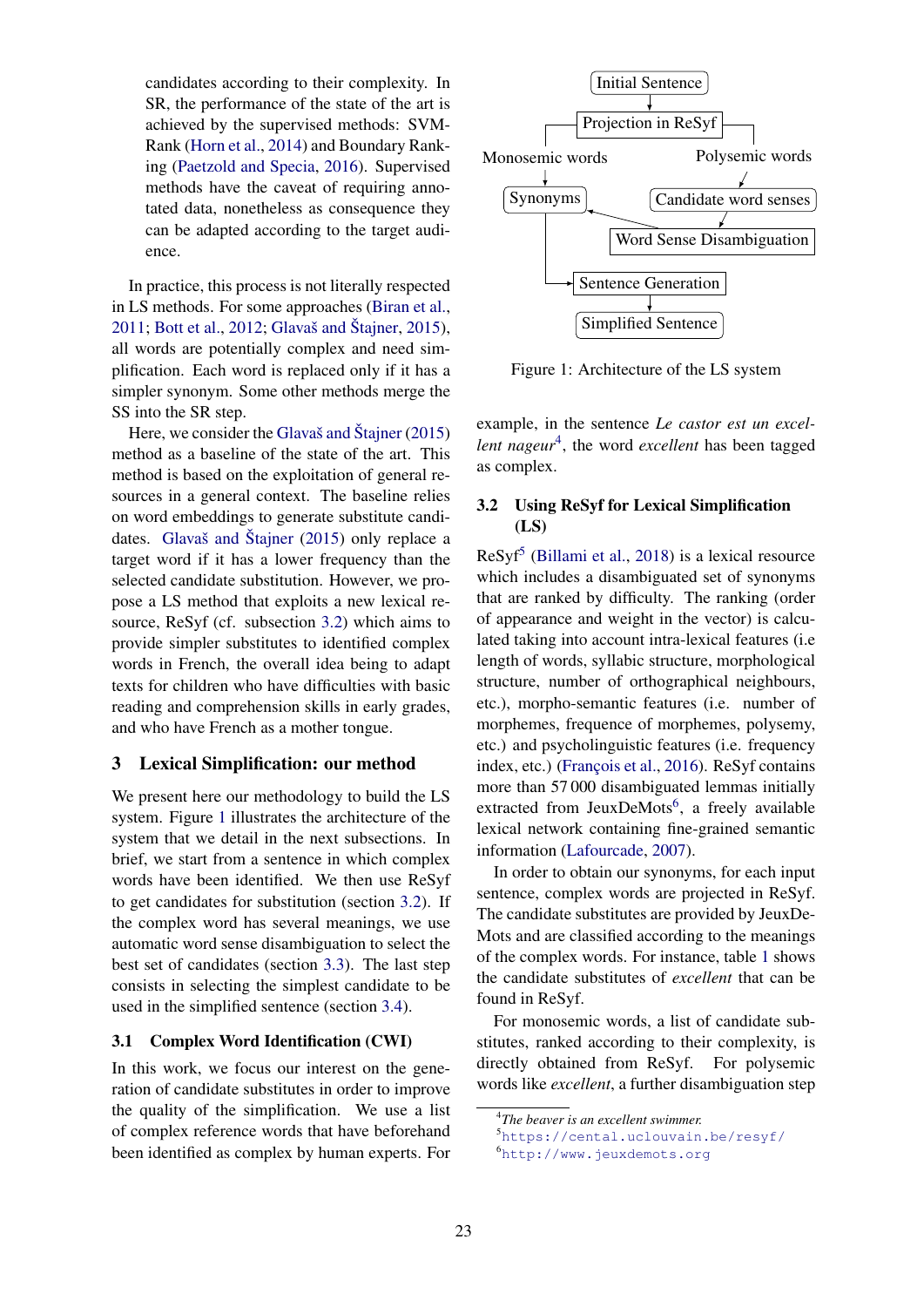candidates according to their complexity. In SR, the performance of the state of the art is achieved by the supervised methods: SVM-Rank (Horn et al., 2014) and Boundary Ranking (Paetzold and Specia, 2016). Supervised methods have the caveat of requiring annotated data, nonetheless as consequence they can be adapted according to the target audience.

In practice, this process is not literally respected in LS methods. For some approaches (Biran et al., 2011; Bott et al., 2012; Glavaš and Štajner, 2015), all words are potentially complex and need simplification. Each word is replaced only if it has a simpler synonym. Some other methods merge the SS into the SR step.

Here, we consider the Glavaš and Štajner (2015) method as a baseline of the state of the art. This method is based on the exploitation of general resources in a general context. The baseline relies on word embeddings to generate substitute candidates. Glavaš and Štajner (2015) only replace a target word if it has a lower frequency than the selected candidate substitution. However, we propose a LS method that exploits a new lexical resource, ReSyf (cf. subsection 3.2) which aims to provide simpler substitutes to identified complex words in French, the overall idea being to adapt texts for children who have difficulties with basic reading and comprehension skills in early grades, and who have French as a mother tongue.

#### 3 Lexical Simplification: our method

We present here our methodology to build the LS system. Figure 1 illustrates the architecture of the system that we detail in the next subsections. In brief, we start from a sentence in which complex words have been identified. We then use ReSyf to get candidates for substitution (section 3.2). If the complex word has several meanings, we use automatic word sense disambiguation to select the best set of candidates (section 3.3). The last step consists in selecting the simplest candidate to be used in the simplified sentence (section 3.4).

#### 3.1 Complex Word Identification (CWI)

In this work, we focus our interest on the generation of candidate substitutes in order to improve the quality of the simplification. We use a list of complex reference words that have beforehand been identified as complex by human experts. For



Figure 1: Architecture of the LS system

example, in the sentence *Le castor est un excellent nageur*<sup>4</sup> , the word *excellent* has been tagged as complex.

#### 3.2 Using ReSyf for Lexical Simplification (LS)

ReSyf<sup>5</sup> (Billami et al., 2018) is a lexical resource which includes a disambiguated set of synonyms that are ranked by difficulty. The ranking (order of appearance and weight in the vector) is calculated taking into account intra-lexical features (i.e length of words, syllabic structure, morphological structure, number of orthographical neighbours, etc.), morpho-semantic features (i.e. number of morphemes, frequence of morphemes, polysemy, etc.) and psycholinguistic features (i.e. frequency index, etc.) (François et al., 2016). ReSyf contains more than 57 000 disambiguated lemmas initially extracted from JeuxDeMots<sup>6</sup>, a freely available lexical network containing fine-grained semantic information (Lafourcade, 2007).

In order to obtain our synonyms, for each input sentence, complex words are projected in ReSyf. The candidate substitutes are provided by JeuxDe-Mots and are classified according to the meanings of the complex words. For instance, table 1 shows the candidate substitutes of *excellent* that can be found in ReSyf.

For monosemic words, a list of candidate substitutes, ranked according to their complexity, is directly obtained from ReSyf. For polysemic words like *excellent*, a further disambiguation step

<sup>4</sup> *The beaver is an excellent swimmer.*

<sup>5</sup>https://cental.uclouvain.be/resyf/ <sup>6</sup>http://www.jeuxdemots.org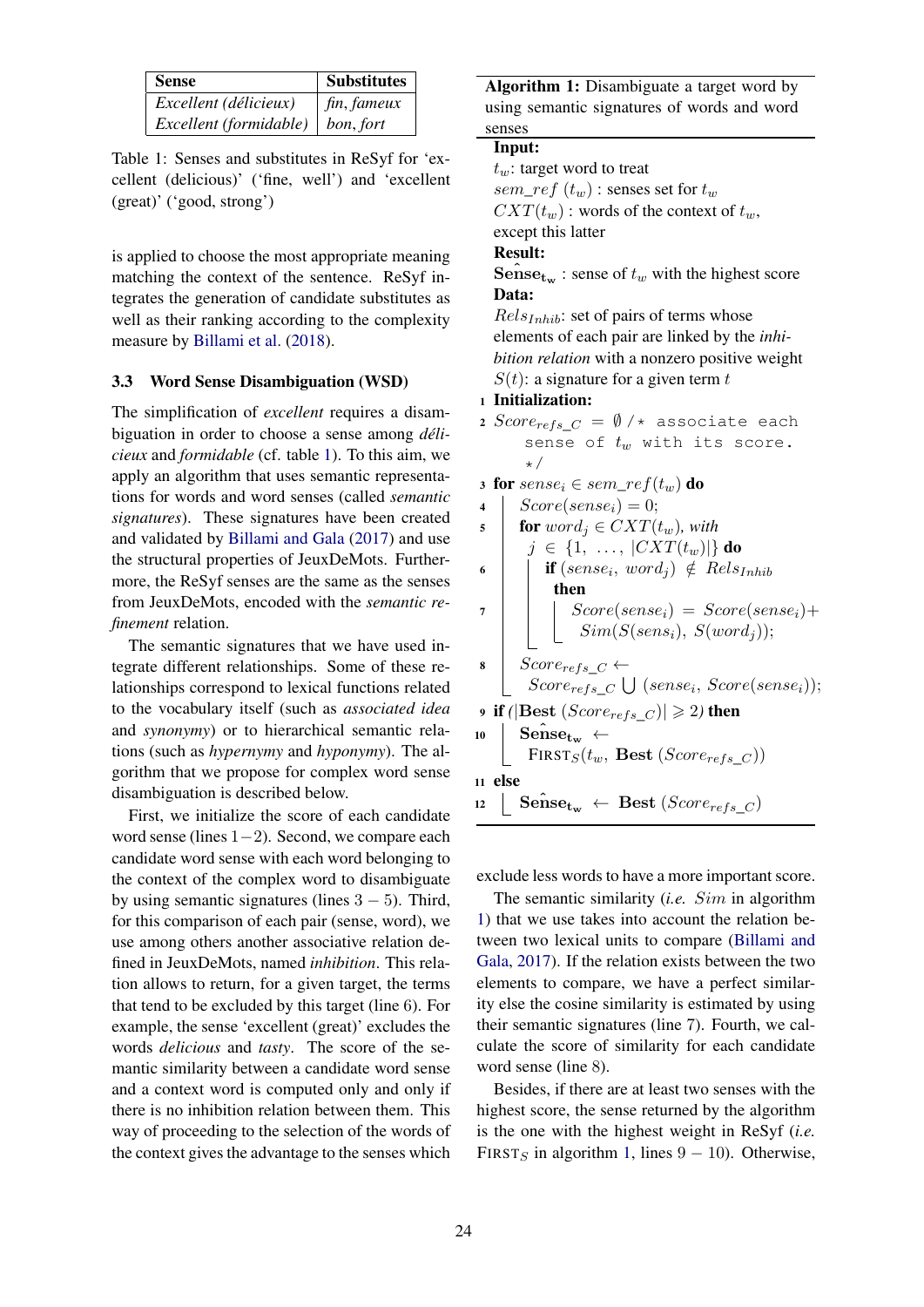| <b>Sense</b>           | <b>Substitutes</b> |
|------------------------|--------------------|
| Excellent (délicieux)  | $\int$ fin, fameux |
| Excellent (formidable) | bon, fort          |

Table 1: Senses and substitutes in ReSyf for 'excellent (delicious)' ('fine, well') and 'excellent (great)' ('good, strong')

is applied to choose the most appropriate meaning matching the context of the sentence. ReSyf integrates the generation of candidate substitutes as well as their ranking according to the complexity measure by Billami et al. (2018).

#### 3.3 Word Sense Disambiguation (WSD)

The simplification of *excellent* requires a disambiguation in order to choose a sense among *délicieux* and *formidable* (cf. table 1). To this aim, we apply an algorithm that uses semantic representations for words and word senses (called *semantic signatures*). These signatures have been created and validated by Billami and Gala (2017) and use the structural properties of JeuxDeMots. Furthermore, the ReSyf senses are the same as the senses from JeuxDeMots, encoded with the *semantic refinement* relation.

The semantic signatures that we have used integrate different relationships. Some of these relationships correspond to lexical functions related to the vocabulary itself (such as *associated idea* and *synonymy*) or to hierarchical semantic relations (such as *hypernymy* and *hyponymy*). The algorithm that we propose for complex word sense disambiguation is described below.

First, we initialize the score of each candidate word sense (lines 1−2). Second, we compare each candidate word sense with each word belonging to the context of the complex word to disambiguate by using semantic signatures (lines  $3 - 5$ ). Third, for this comparison of each pair (sense, word), we use among others another associative relation defined in JeuxDeMots, named *inhibition*. This relation allows to return, for a given target, the terms that tend to be excluded by this target (line 6). For example, the sense 'excellent (great)' excludes the words *delicious* and *tasty*. The score of the semantic similarity between a candidate word sense and a context word is computed only and only if there is no inhibition relation between them. This way of proceeding to the selection of the words of the context gives the advantage to the senses which

Algorithm 1: Disambiguate a target word by using semantic signatures of words and word senses

Input:  $t_w$ : target word to treat  $sem\_ref(t_w)$ : senses set for  $t_w$  $CXT(t_w)$ : words of the context of  $t_w$ , except this latter Result: **Sense<sub>tw</sub>**: sense of  $t_w$  with the highest score Data:  $Rels<sub>Inhib</sub>$ : set of pairs of terms whose elements of each pair are linked by the *inhibition relation* with a nonzero positive weight  $S(t)$ : a signature for a given term t <sup>1</sup> Initialization: 2 Score<sub>refs</sub>  $C = \emptyset$  /\* associate each sense of  $t_w$  with its score. \*/ 3 for  $sense_i \in sem\_ref(t_w)$  do<br>4 |  $Score(sense_i) = 0;$  $Score(sense_i) = 0;$ 5 **for**  $word_i \in CXT(t_w)$ , with  $j \in \{1, \ldots, |CXT(t_w)|\}$  do  $\mathfrak{b}$  if (sense<sub>i</sub>, word<sub>j</sub>)  $\notin$  Rels<sub>Inhib</sub> then  $7 \mid \cdot \mid$  Score(sense<sub>i</sub>) = Score(sense<sub>i</sub>)+  $Sim(S(sens_i), S(word_i));$  $\begin{array}{c|c} \text{s} & Score_{refs}\_C \leftarrow \end{array}$  $Score_{refs}\_C \bigcup (sense_i, Score(sense_i));$ **9** if ( $|Best(Score_{refs} C)| \ge 2$ ) then  $_{10}$  Sense<sub>tw</sub> ←  $FIRST_S(t_w, Best(Score_{refs} C))$ <sup>11</sup> else  $\text{12}$  Sense<sub>tw</sub> ← Best (Score<sub>refs</sub> C)

exclude less words to have a more important score.

The semantic similarity (*i.e.* Sim in algorithm 1) that we use takes into account the relation between two lexical units to compare (Billami and Gala, 2017). If the relation exists between the two elements to compare, we have a perfect similarity else the cosine similarity is estimated by using their semantic signatures (line 7). Fourth, we calculate the score of similarity for each candidate word sense (line 8).

Besides, if there are at least two senses with the highest score, the sense returned by the algorithm is the one with the highest weight in ReSyf (*i.e.* FIRST<sub>S</sub> in algorithm 1, lines  $9 - 10$ ). Otherwise,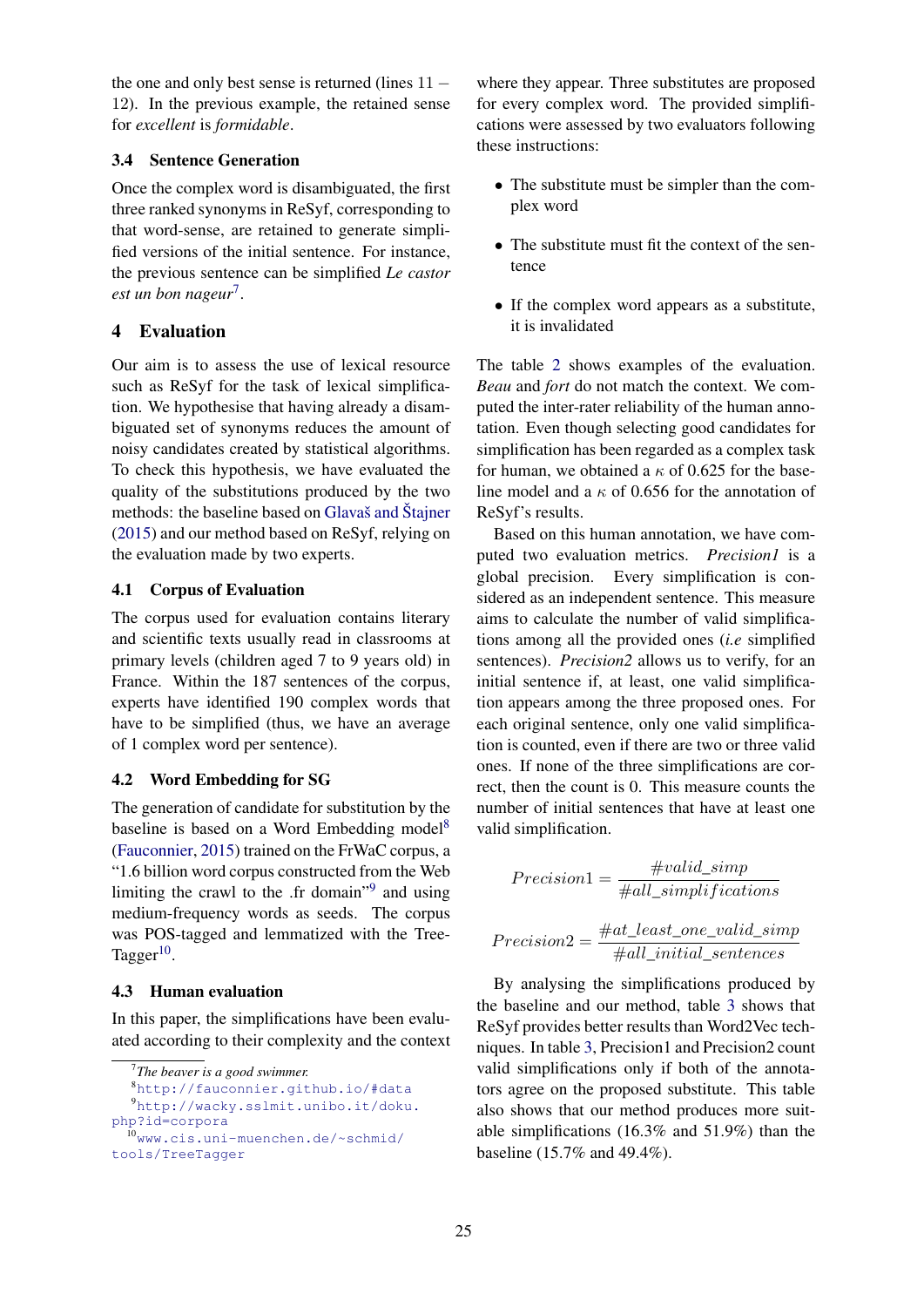the one and only best sense is returned (lines 11 − 12). In the previous example, the retained sense for *excellent* is *formidable*.

### 3.4 Sentence Generation

Once the complex word is disambiguated, the first three ranked synonyms in ReSyf, corresponding to that word-sense, are retained to generate simplified versions of the initial sentence. For instance, the previous sentence can be simplified *Le castor est un bon nageur*<sup>7</sup> .

## 4 Evaluation

Our aim is to assess the use of lexical resource such as ReSyf for the task of lexical simplification. We hypothesise that having already a disambiguated set of synonyms reduces the amount of noisy candidates created by statistical algorithms. To check this hypothesis, we have evaluated the quality of the substitutions produced by the two methods: the baseline based on Glavaš and Štajner (2015) and our method based on ReSyf, relying on the evaluation made by two experts.

## 4.1 Corpus of Evaluation

The corpus used for evaluation contains literary and scientific texts usually read in classrooms at primary levels (children aged 7 to 9 years old) in France. Within the 187 sentences of the corpus, experts have identified 190 complex words that have to be simplified (thus, we have an average of 1 complex word per sentence).

## 4.2 Word Embedding for SG

The generation of candidate for substitution by the baseline is based on a Word Embedding model<sup>8</sup> (Fauconnier, 2015) trained on the FrWaC corpus, a "1.6 billion word corpus constructed from the Web limiting the crawl to the .fr domain"<sup>9</sup> and using medium-frequency words as seeds. The corpus was POS-tagged and lemmatized with the Tree-Tagger $^{10}$ .

## 4.3 Human evaluation

In this paper, the simplifications have been evaluated according to their complexity and the context

where they appear. Three substitutes are proposed for every complex word. The provided simplifications were assessed by two evaluators following these instructions:

- The substitute must be simpler than the complex word
- The substitute must fit the context of the sentence
- If the complex word appears as a substitute, it is invalidated

The table 2 shows examples of the evaluation. *Beau* and *fort* do not match the context. We computed the inter-rater reliability of the human annotation. Even though selecting good candidates for simplification has been regarded as a complex task for human, we obtained a  $\kappa$  of 0.625 for the baseline model and a  $\kappa$  of 0.656 for the annotation of ReSyf's results.

Based on this human annotation, we have computed two evaluation metrics. *Precision1* is a global precision. Every simplification is considered as an independent sentence. This measure aims to calculate the number of valid simplifications among all the provided ones (*i.e* simplified sentences). *Precision2* allows us to verify, for an initial sentence if, at least, one valid simplification appears among the three proposed ones. For each original sentence, only one valid simplification is counted, even if there are two or three valid ones. If none of the three simplifications are correct, then the count is 0. This measure counts the number of initial sentences that have at least one valid simplification.

$$
Precision1 = \frac{\#valid\_simp}{\#all\_simplifications}
$$
  

$$
\#at \text{ least one valid } sim
$$

$$
Precision2 = \frac{\#at\_least\_one\_valid\_simp}{\#all\_initial\_sentences}
$$

By analysing the simplifications produced by the baseline and our method, table 3 shows that ReSyf provides better results than Word2Vec techniques. In table 3, Precision1 and Precision2 count valid simplifications only if both of the annotators agree on the proposed substitute. This table also shows that our method produces more suitable simplifications (16.3% and 51.9%) than the baseline (15.7% and 49.4%).

<sup>7</sup> *The beaver is a good swimmer.*

<sup>8</sup>http://fauconnier.github.io/#data <sup>9</sup>http://wacky.sslmit.unibo.it/doku.

php?id=corpora

<sup>10</sup>www.cis.uni-muenchen.de/~schmid/ tools/TreeTagger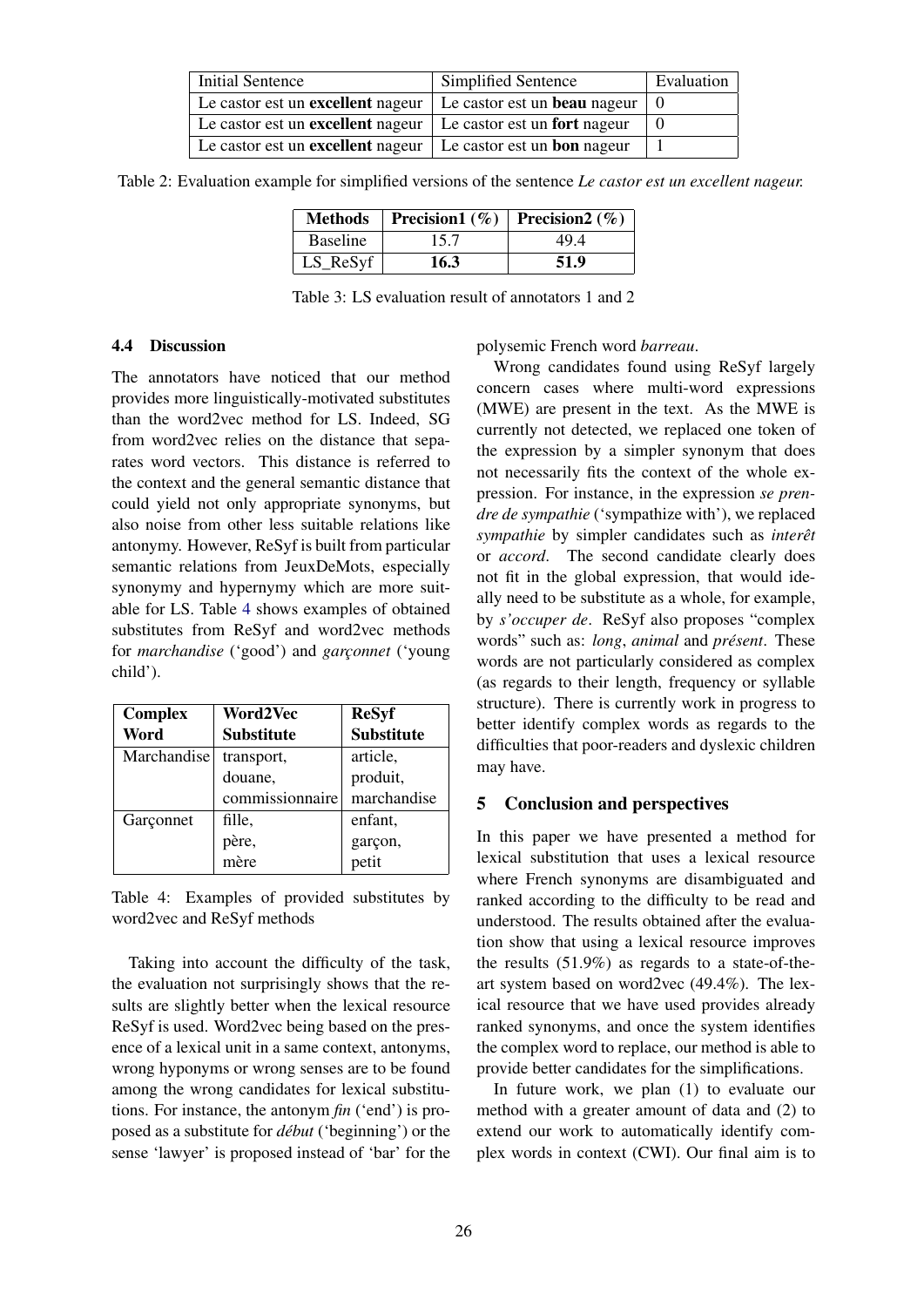| <b>Initial Sentence</b>                                                | Simplified Sentence | Evaluation |
|------------------------------------------------------------------------|---------------------|------------|
| Le castor est un excellent nageur $\vert$ Le castor est un beau nageur |                     |            |
| Le castor est un excellent nageur $\vert$ Le castor est un fort nageur |                     |            |
| Le castor est un excellent nageur $\vert$ Le castor est un bon nageur  |                     |            |

Table 2: Evaluation example for simplified versions of the sentence *Le castor est un excellent nageur.*

| <b>Methods</b>        | Precision1 $(\%)$   Precision2 $(\%)$ |      |
|-----------------------|---------------------------------------|------|
| <b>Baseline</b>       | 15.7                                  | 49.4 |
| $LS$ <sub>ReSyf</sub> | 16.3                                  | 51.9 |

Table 3: LS evaluation result of annotators 1 and 2

#### 4.4 Discussion

The annotators have noticed that our method provides more linguistically-motivated substitutes than the word2vec method for LS. Indeed, SG from word2vec relies on the distance that separates word vectors. This distance is referred to the context and the general semantic distance that could yield not only appropriate synonyms, but also noise from other less suitable relations like antonymy. However, ReSyf is built from particular semantic relations from JeuxDeMots, especially synonymy and hypernymy which are more suitable for LS. Table 4 shows examples of obtained substitutes from ReSyf and word2vec methods for *marchandise* ('good') and *garçonnet* ('young child').

| <b>Complex</b> | Word2Vec          | <b>ReSyf</b>      |
|----------------|-------------------|-------------------|
| Word           | <b>Substitute</b> | <b>Substitute</b> |
| Marchandise    | transport,        | article,          |
|                | douane,           | produit,          |
|                | commissionnaire   | marchandise       |
| Garçonnet      | fille,            | enfant,           |
|                | père,<br>mère     | garçon,<br>petit  |
|                |                   |                   |

Table 4: Examples of provided substitutes by word2vec and ReSyf methods

Taking into account the difficulty of the task, the evaluation not surprisingly shows that the results are slightly better when the lexical resource ReSyf is used. Word2vec being based on the presence of a lexical unit in a same context, antonyms, wrong hyponyms or wrong senses are to be found among the wrong candidates for lexical substitutions. For instance, the antonym *fin* ('end') is proposed as a substitute for *début* ('beginning') or the sense 'lawyer' is proposed instead of 'bar' for the polysemic French word *barreau*.

Wrong candidates found using ReSyf largely concern cases where multi-word expressions (MWE) are present in the text. As the MWE is currently not detected, we replaced one token of the expression by a simpler synonym that does not necessarily fits the context of the whole expression. For instance, in the expression *se prendre de sympathie* ('sympathize with'), we replaced *sympathie* by simpler candidates such as *interêt* or *accord*. The second candidate clearly does not fit in the global expression, that would ideally need to be substitute as a whole, for example, by *s'occuper de*. ReSyf also proposes "complex words" such as: *long*, *animal* and *présent*. These words are not particularly considered as complex (as regards to their length, frequency or syllable structure). There is currently work in progress to better identify complex words as regards to the difficulties that poor-readers and dyslexic children may have.

#### 5 Conclusion and perspectives

In this paper we have presented a method for lexical substitution that uses a lexical resource where French synonyms are disambiguated and ranked according to the difficulty to be read and understood. The results obtained after the evaluation show that using a lexical resource improves the results (51.9%) as regards to a state-of-theart system based on word2vec (49.4%). The lexical resource that we have used provides already ranked synonyms, and once the system identifies the complex word to replace, our method is able to provide better candidates for the simplifications.

In future work, we plan (1) to evaluate our method with a greater amount of data and (2) to extend our work to automatically identify complex words in context (CWI). Our final aim is to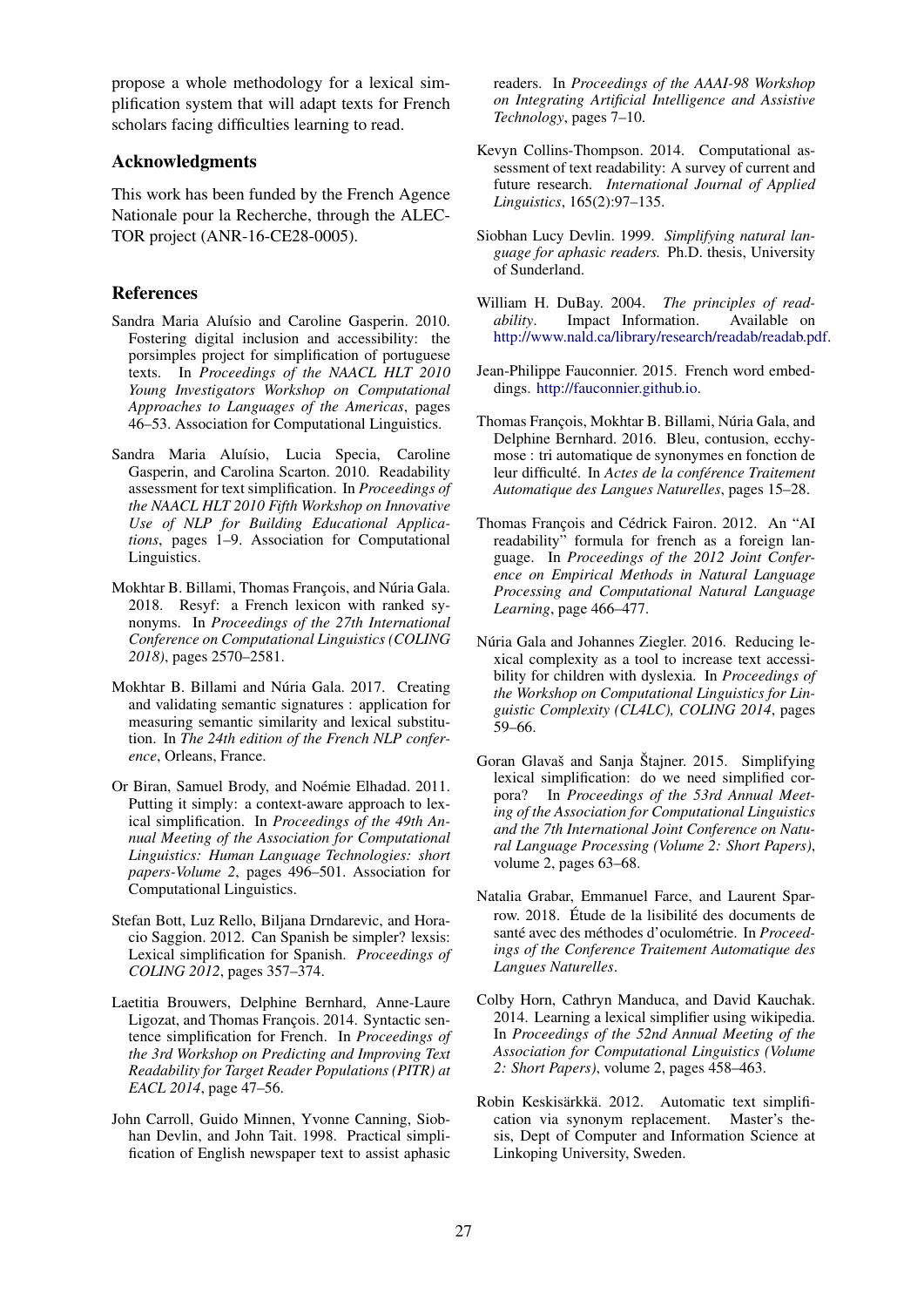propose a whole methodology for a lexical simplification system that will adapt texts for French scholars facing difficulties learning to read.

#### Acknowledgments

This work has been funded by the French Agence Nationale pour la Recherche, through the ALEC-TOR project (ANR-16-CE28-0005).

#### References

- Sandra Maria Aluísio and Caroline Gasperin. 2010. Fostering digital inclusion and accessibility: the porsimples project for simplification of portuguese texts. In *Proceedings of the NAACL HLT 2010 Young Investigators Workshop on Computational Approaches to Languages of the Americas*, pages 46–53. Association for Computational Linguistics.
- Sandra Maria Aluísio, Lucia Specia, Caroline Gasperin, and Carolina Scarton. 2010. Readability assessment for text simplification. In *Proceedings of the NAACL HLT 2010 Fifth Workshop on Innovative Use of NLP for Building Educational Applications*, pages 1–9. Association for Computational Linguistics.
- Mokhtar B. Billami, Thomas François, and Núria Gala. 2018. Resyf: a French lexicon with ranked synonyms. In *Proceedings of the 27th International Conference on Computational Linguistics (COLING 2018)*, pages 2570–2581.
- Mokhtar B. Billami and Núria Gala. 2017. Creating and validating semantic signatures : application for measuring semantic similarity and lexical substitution. In *The 24th edition of the French NLP conference*, Orleans, France.
- Or Biran, Samuel Brody, and Noémie Elhadad. 2011. Putting it simply: a context-aware approach to lexical simplification. In *Proceedings of the 49th Annual Meeting of the Association for Computational Linguistics: Human Language Technologies: short papers-Volume 2*, pages 496–501. Association for Computational Linguistics.
- Stefan Bott, Luz Rello, Biljana Drndarevic, and Horacio Saggion. 2012. Can Spanish be simpler? lexsis: Lexical simplification for Spanish. *Proceedings of COLING 2012*, pages 357–374.
- Laetitia Brouwers, Delphine Bernhard, Anne-Laure Ligozat, and Thomas François. 2014. Syntactic sentence simplification for French. In *Proceedings of the 3rd Workshop on Predicting and Improving Text Readability for Target Reader Populations (PITR) at EACL 2014*, page 47–56.
- John Carroll, Guido Minnen, Yvonne Canning, Siobhan Devlin, and John Tait. 1998. Practical simplification of English newspaper text to assist aphasic

readers. In *Proceedings of the AAAI-98 Workshop on Integrating Artificial Intelligence and Assistive Technology*, pages 7–10.

- Kevyn Collins-Thompson. 2014. Computational assessment of text readability: A survey of current and future research. *International Journal of Applied Linguistics*, 165(2):97–135.
- Siobhan Lucy Devlin. 1999. *Simplifying natural language for aphasic readers.* Ph.D. thesis, University of Sunderland.
- William H. DuBay. 2004. *The principles of readability*. Impact Information. Available on http://www.nald.ca/library/research/readab/readab.pdf.
- Jean-Philippe Fauconnier. 2015. French word embeddings. http://fauconnier.github.io.
- Thomas François, Mokhtar B. Billami, Núria Gala, and Delphine Bernhard. 2016. Bleu, contusion, ecchymose : tri automatique de synonymes en fonction de leur difficulté. In *Actes de la conférence Traitement Automatique des Langues Naturelles*, pages 15–28.
- Thomas François and Cédrick Fairon. 2012. An "AI readability" formula for french as a foreign language. In *Proceedings of the 2012 Joint Conference on Empirical Methods in Natural Language Processing and Computational Natural Language Learning*, page 466–477.
- Núria Gala and Johannes Ziegler. 2016. Reducing lexical complexity as a tool to increase text accessibility for children with dyslexia. In *Proceedings of the Workshop on Computational Linguistics for Linguistic Complexity (CL4LC), COLING 2014*, pages 59–66.
- Goran Glavaš and Sanja Štajner. 2015. Simplifying lexical simplification: do we need simplified corpora? In *Proceedings of the 53rd Annual Meeting of the Association for Computational Linguistics and the 7th International Joint Conference on Natural Language Processing (Volume 2: Short Papers)*, volume 2, pages 63–68.
- Natalia Grabar, Emmanuel Farce, and Laurent Sparrow. 2018. Étude de la lisibilité des documents de santé avec des méthodes d'oculométrie. In *Proceedings of the Conference Traitement Automatique des Langues Naturelles*.
- Colby Horn, Cathryn Manduca, and David Kauchak. 2014. Learning a lexical simplifier using wikipedia. In *Proceedings of the 52nd Annual Meeting of the Association for Computational Linguistics (Volume 2: Short Papers)*, volume 2, pages 458–463.
- Robin Keskisärkkä. 2012. Automatic text simplification via synonym replacement. Master's thesis, Dept of Computer and Information Science at Linkoping University, Sweden.